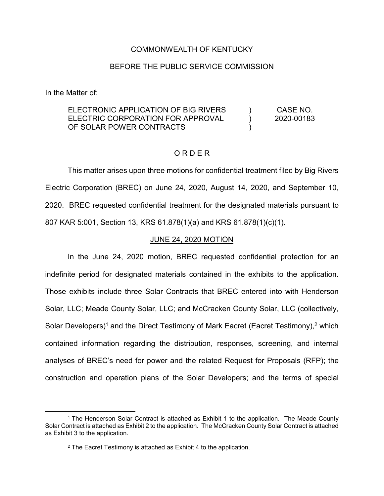# COMMONWEALTH OF KENTUCKY

# BEFORE THE PUBLIC SERVICE COMMISSION

In the Matter of:

 $\overline{a}$ 

#### ELECTRONIC APPLICATION OF BIG RIVERS ELECTRIC CORPORATION FOR APPROVAL OF SOLAR POWER CONTRACTS  $\lambda$  $\lambda$ ) CASE NO. 2020-00183

## O R D E R

This matter arises upon three motions for confidential treatment filed by Big Rivers Electric Corporation (BREC) on June 24, 2020, August 14, 2020, and September 10, 2020. BREC requested confidential treatment for the designated materials pursuant to 807 KAR 5:001, Section 13, KRS 61.878(1)(a) and KRS 61.878(1)(c)(1).

### JUNE 24, 2020 MOTION

In the June 24, 2020 motion, BREC requested confidential protection for an indefinite period for designated materials contained in the exhibits to the application. Those exhibits include three Solar Contracts that BREC entered into with Henderson Solar, LLC; Meade County Solar, LLC; and McCracken County Solar, LLC (collectively, Solar Developers)<sup>1</sup> and the Direct Testimony of Mark Eacret (Eacret Testimony),<sup>2</sup> which contained information regarding the distribution, responses, screening, and internal analyses of BREC's need for power and the related Request for Proposals (RFP); the construction and operation plans of the Solar Developers; and the terms of special

<sup>1</sup> The Henderson Solar Contract is attached as Exhibit 1 to the application. The Meade County Solar Contract is attached as Exhibit 2 to the application. The McCracken County Solar Contract is attached as Exhibit 3 to the application.

<sup>2</sup> The Eacret Testimony is attached as Exhibit 4 to the application.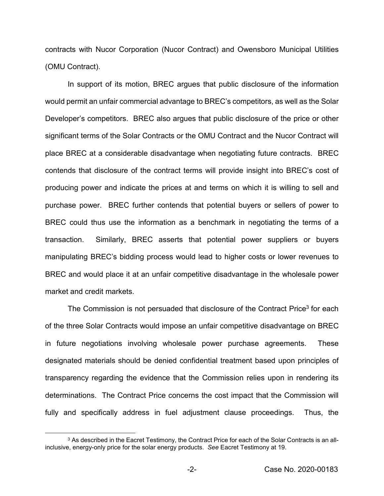contracts with Nucor Corporation (Nucor Contract) and Owensboro Municipal Utilities (OMU Contract).

In support of its motion, BREC argues that public disclosure of the information would permit an unfair commercial advantage to BREC's competitors, as well as the Solar Developer's competitors. BREC also argues that public disclosure of the price or other significant terms of the Solar Contracts or the OMU Contract and the Nucor Contract will place BREC at a considerable disadvantage when negotiating future contracts. BREC contends that disclosure of the contract terms will provide insight into BREC's cost of producing power and indicate the prices at and terms on which it is willing to sell and purchase power. BREC further contends that potential buyers or sellers of power to BREC could thus use the information as a benchmark in negotiating the terms of a transaction. Similarly, BREC asserts that potential power suppliers or buyers manipulating BREC's bidding process would lead to higher costs or lower revenues to BREC and would place it at an unfair competitive disadvantage in the wholesale power market and credit markets.

The Commission is not persuaded that disclosure of the Contract Price<sup>3</sup> for each of the three Solar Contracts would impose an unfair competitive disadvantage on BREC in future negotiations involving wholesale power purchase agreements. These designated materials should be denied confidential treatment based upon principles of transparency regarding the evidence that the Commission relies upon in rendering its determinations. The Contract Price concerns the cost impact that the Commission will fully and specifically address in fuel adjustment clause proceedings. Thus, the

 $\overline{a}$ 

<sup>&</sup>lt;sup>3</sup> As described in the Eacret Testimony, the Contract Price for each of the Solar Contracts is an allinclusive, energy-only price for the solar energy products. *See* Eacret Testimony at 19.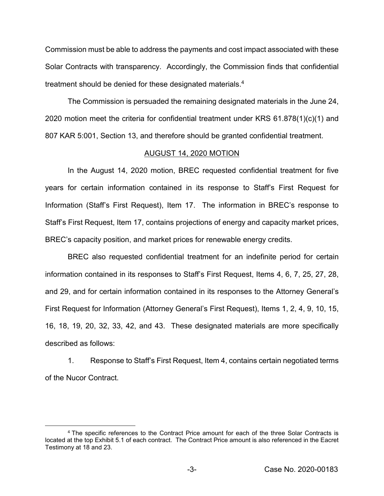Commission must be able to address the payments and cost impact associated with these Solar Contracts with transparency. Accordingly, the Commission finds that confidential treatment should be denied for these designated materials.<sup>4</sup>

The Commission is persuaded the remaining designated materials in the June 24, 2020 motion meet the criteria for confidential treatment under KRS 61.878(1)(c)(1) and 807 KAR 5:001, Section 13, and therefore should be granted confidential treatment.

### AUGUST 14, 2020 MOTION

In the August 14, 2020 motion, BREC requested confidential treatment for five years for certain information contained in its response to Staff's First Request for Information (Staff's First Request), Item 17. The information in BREC's response to Staff's First Request, Item 17, contains projections of energy and capacity market prices, BREC's capacity position, and market prices for renewable energy credits.

BREC also requested confidential treatment for an indefinite period for certain information contained in its responses to Staff's First Request, Items 4, 6, 7, 25, 27, 28, and 29, and for certain information contained in its responses to the Attorney General's First Request for Information (Attorney General's First Request), Items 1, 2, 4, 9, 10, 15, 16, 18, 19, 20, 32, 33, 42, and 43. These designated materials are more specifically described as follows:

1. Response to Staff's First Request, Item 4, contains certain negotiated terms of the Nucor Contract.

 $\overline{a}$ 

<sup>4</sup> The specific references to the Contract Price amount for each of the three Solar Contracts is located at the top Exhibit 5.1 of each contract. The Contract Price amount is also referenced in the Eacret Testimony at 18 and 23.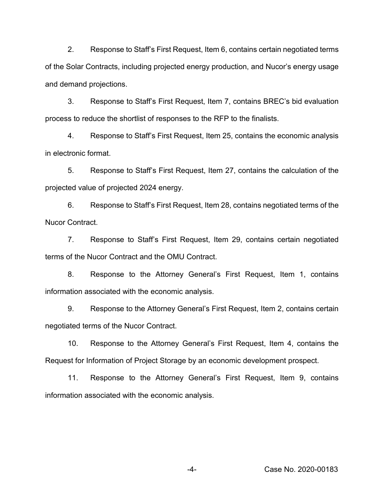2. Response to Staff's First Request, Item 6, contains certain negotiated terms of the Solar Contracts, including projected energy production, and Nucor's energy usage and demand projections.

3. Response to Staff's First Request, Item 7, contains BREC's bid evaluation process to reduce the shortlist of responses to the RFP to the finalists.

4. Response to Staff's First Request, Item 25, contains the economic analysis in electronic format.

5. Response to Staff's First Request, Item 27, contains the calculation of the projected value of projected 2024 energy.

6. Response to Staff's First Request, Item 28, contains negotiated terms of the Nucor Contract.

7. Response to Staff's First Request, Item 29, contains certain negotiated terms of the Nucor Contract and the OMU Contract.

8. Response to the Attorney General's First Request, Item 1, contains information associated with the economic analysis.

9. Response to the Attorney General's First Request, Item 2, contains certain negotiated terms of the Nucor Contract.

10. Response to the Attorney General's First Request, Item 4, contains the Request for Information of Project Storage by an economic development prospect.

11. Response to the Attorney General's First Request, Item 9, contains information associated with the economic analysis.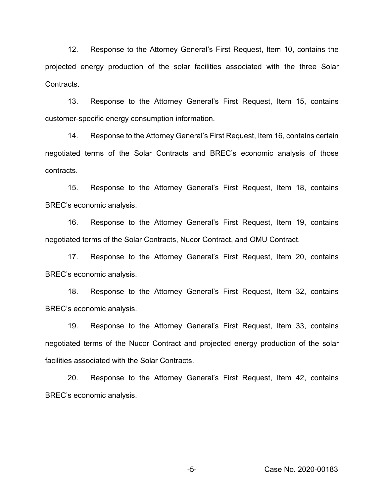12. Response to the Attorney General's First Request, Item 10, contains the projected energy production of the solar facilities associated with the three Solar Contracts.

13. Response to the Attorney General's First Request, Item 15, contains customer-specific energy consumption information.

14. Response to the Attorney General's First Request, Item 16, contains certain negotiated terms of the Solar Contracts and BREC's economic analysis of those contracts.

15. Response to the Attorney General's First Request, Item 18, contains BREC's economic analysis.

16. Response to the Attorney General's First Request, Item 19, contains negotiated terms of the Solar Contracts, Nucor Contract, and OMU Contract.

17. Response to the Attorney General's First Request, Item 20, contains BREC's economic analysis.

18. Response to the Attorney General's First Request, Item 32, contains BREC's economic analysis.

19. Response to the Attorney General's First Request, Item 33, contains negotiated terms of the Nucor Contract and projected energy production of the solar facilities associated with the Solar Contracts.

20. Response to the Attorney General's First Request, Item 42, contains BREC's economic analysis.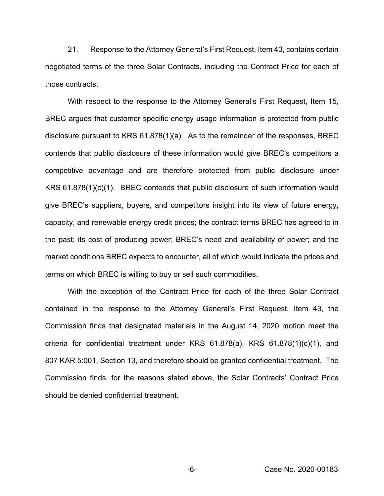21. Response to the Attorney General's First Request, Item 43, contains certain negotiated terms of the three Solar Contracts, including the Contract Price for each of those contracts.

With respect to the response to the Attorney General's First Request, Item 15, BREC argues that customer specific energy usage information is protected from public disclosure pursuant to KRS 61.878(1)(a). As to the remainder of the responses, BREC contends that public disclosure of these information would give BREC's competitors a competitive advantage and are therefore protected from public disclosure under KRS 61.878(1)(c)(1). BREC contends that public disclosure of such information would give BREC's suppliers, buyers, and competitors insight into its view of future energy, capacity, and renewable energy credit prices; the contract terms BREC has agreed to in the past; its cost of producing power; BREC's need and availability of power; and the market conditions BREC expects to encounter, all of which would indicate the prices and terms on which BREC is willing to buy or sell such commodities.

With the exception of the Contract Price for each of the three Solar Contract contained in the response to the Attorney General's First Request, Item 43, the Commission finds that designated materials in the August 14, 2020 motion meet the criteria for confidential treatment under KRS 61.878(a), KRS 61.878(1)(c)(1), and 807 KAR 5:001, Section 13, and therefore should be granted confidential treatment. The Commission finds, for the reasons stated above, the Solar Contracts' Contract Price should be denied confidential treatment.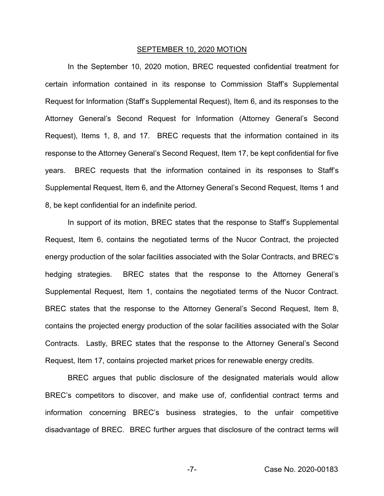#### SEPTEMBER 10, 2020 MOTION

In the September 10, 2020 motion, BREC requested confidential treatment for certain information contained in its response to Commission Staff's Supplemental Request for Information (Staff's Supplemental Request), Item 6, and its responses to the Attorney General's Second Request for Information (Attorney General's Second Request), Items 1, 8, and 17. BREC requests that the information contained in its response to the Attorney General's Second Request, Item 17, be kept confidential for five years. BREC requests that the information contained in its responses to Staff's Supplemental Request, Item 6, and the Attorney General's Second Request, Items 1 and 8, be kept confidential for an indefinite period.

In support of its motion, BREC states that the response to Staff's Supplemental Request, Item 6, contains the negotiated terms of the Nucor Contract, the projected energy production of the solar facilities associated with the Solar Contracts, and BREC's hedging strategies. BREC states that the response to the Attorney General's Supplemental Request, Item 1, contains the negotiated terms of the Nucor Contract. BREC states that the response to the Attorney General's Second Request, Item 8, contains the projected energy production of the solar facilities associated with the Solar Contracts. Lastly, BREC states that the response to the Attorney General's Second Request, Item 17, contains projected market prices for renewable energy credits.

BREC argues that public disclosure of the designated materials would allow BREC's competitors to discover, and make use of, confidential contract terms and information concerning BREC's business strategies, to the unfair competitive disadvantage of BREC. BREC further argues that disclosure of the contract terms will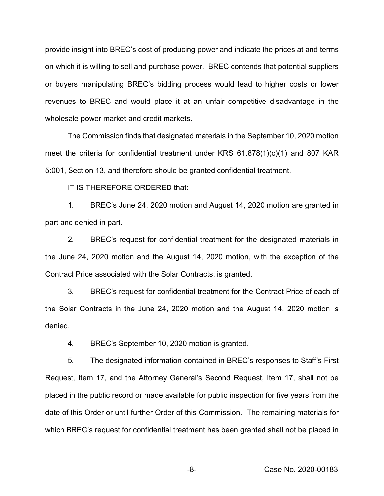provide insight into BREC's cost of producing power and indicate the prices at and terms on which it is willing to sell and purchase power. BREC contends that potential suppliers or buyers manipulating BREC's bidding process would lead to higher costs or lower revenues to BREC and would place it at an unfair competitive disadvantage in the wholesale power market and credit markets.

The Commission finds that designated materials in the September 10, 2020 motion meet the criteria for confidential treatment under KRS 61.878(1)(c)(1) and 807 KAR 5:001, Section 13, and therefore should be granted confidential treatment.

IT IS THEREFORE ORDERED that:

1. BREC's June 24, 2020 motion and August 14, 2020 motion are granted in part and denied in part.

2. BREC's request for confidential treatment for the designated materials in the June 24, 2020 motion and the August 14, 2020 motion, with the exception of the Contract Price associated with the Solar Contracts, is granted.

3. BREC's request for confidential treatment for the Contract Price of each of the Solar Contracts in the June 24, 2020 motion and the August 14, 2020 motion is denied.

4. BREC's September 10, 2020 motion is granted.

5. The designated information contained in BREC's responses to Staff's First Request, Item 17, and the Attorney General's Second Request, Item 17, shall not be placed in the public record or made available for public inspection for five years from the date of this Order or until further Order of this Commission. The remaining materials for which BREC's request for confidential treatment has been granted shall not be placed in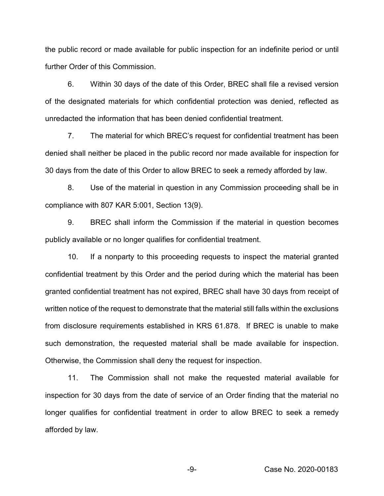the public record or made available for public inspection for an indefinite period or until further Order of this Commission.

6. Within 30 days of the date of this Order, BREC shall file a revised version of the designated materials for which confidential protection was denied, reflected as unredacted the information that has been denied confidential treatment.

7. The material for which BREC's request for confidential treatment has been denied shall neither be placed in the public record nor made available for inspection for 30 days from the date of this Order to allow BREC to seek a remedy afforded by law.

8. Use of the material in question in any Commission proceeding shall be in compliance with 807 KAR 5:001, Section 13(9).

9. BREC shall inform the Commission if the material in question becomes publicly available or no longer qualifies for confidential treatment.

10. If a nonparty to this proceeding requests to inspect the material granted confidential treatment by this Order and the period during which the material has been granted confidential treatment has not expired, BREC shall have 30 days from receipt of written notice of the request to demonstrate that the material still falls within the exclusions from disclosure requirements established in KRS 61.878. If BREC is unable to make such demonstration, the requested material shall be made available for inspection. Otherwise, the Commission shall deny the request for inspection.

11. The Commission shall not make the requested material available for inspection for 30 days from the date of service of an Order finding that the material no longer qualifies for confidential treatment in order to allow BREC to seek a remedy afforded by law.

-9- Case No. 2020-00183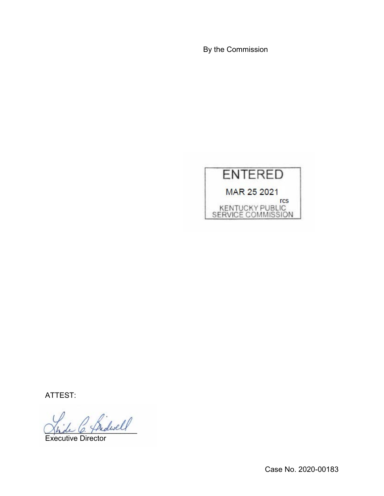By the Commission



ATTEST:

\_\_\_\_\_\_\_\_\_\_\_\_\_\_\_\_\_\_\_\_\_\_

Executive Director

Case No. 2020-00183